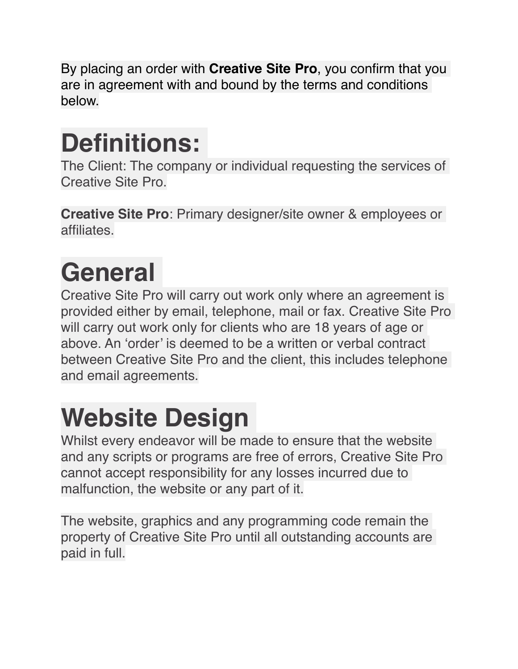By placing an order with **Creative Site Pro**, you confirm that you are in agreement with and bound by the terms and conditions below.

#### **Definitions:**

The Client: The company or individual requesting the services of Creative Site Pro.

**Creative Site Pro**: Primary designer/site owner & employees or affiliates.

# **General**

Creative Site Pro will carry out work only where an agreement is provided either by email, telephone, mail or fax. Creative Site Pro will carry out work only for clients who are 18 years of age or above. An 'order' is deemed to be a written or verbal contract between Creative Site Pro and the client, this includes telephone and email agreements.

## **Website Design**

Whilst every endeavor will be made to ensure that the website and any scripts or programs are free of errors, Creative Site Pro cannot accept responsibility for any losses incurred due to malfunction, the website or any part of it.

The website, graphics and any programming code remain the property of Creative Site Pro until all outstanding accounts are paid in full.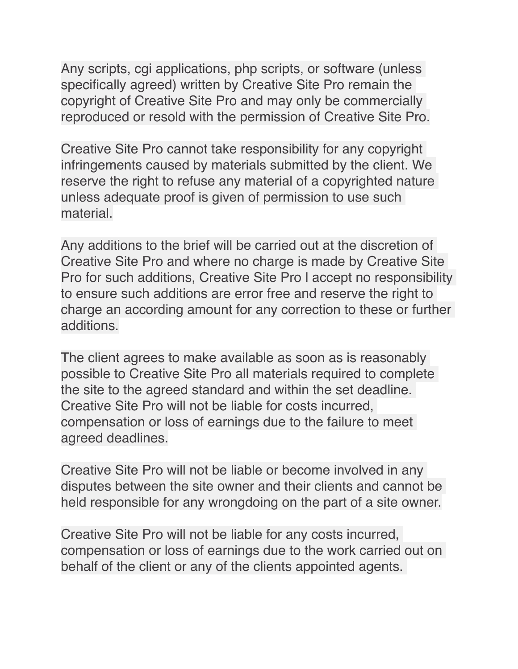Any scripts, cgi applications, php scripts, or software (unless specifically agreed) written by Creative Site Pro remain the copyright of Creative Site Pro and may only be commercially reproduced or resold with the permission of Creative Site Pro.

Creative Site Pro cannot take responsibility for any copyright infringements caused by materials submitted by the client. We reserve the right to refuse any material of a copyrighted nature unless adequate proof is given of permission to use such material.

Any additions to the brief will be carried out at the discretion of Creative Site Pro and where no charge is made by Creative Site Pro for such additions, Creative Site Pro l accept no responsibility to ensure such additions are error free and reserve the right to charge an according amount for any correction to these or further additions.

The client agrees to make available as soon as is reasonably possible to Creative Site Pro all materials required to complete the site to the agreed standard and within the set deadline. Creative Site Pro will not be liable for costs incurred, compensation or loss of earnings due to the failure to meet agreed deadlines.

Creative Site Pro will not be liable or become involved in any disputes between the site owner and their clients and cannot be held responsible for any wrongdoing on the part of a site owner.

Creative Site Pro will not be liable for any costs incurred, compensation or loss of earnings due to the work carried out on behalf of the client or any of the clients appointed agents.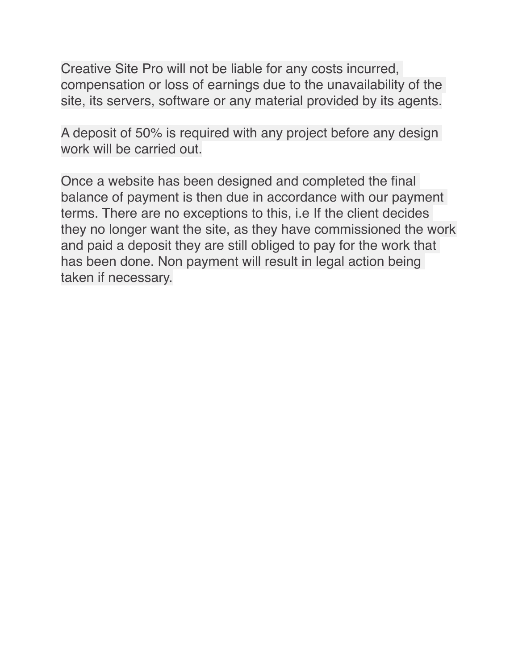Creative Site Pro will not be liable for any costs incurred, compensation or loss of earnings due to the unavailability of the site, its servers, software or any material provided by its agents.

A deposit of 50% is required with any project before any design work will be carried out.

Once a website has been designed and completed the final balance of payment is then due in accordance with our payment terms. There are no exceptions to this, i.e If the client decides they no longer want the site, as they have commissioned the work and paid a deposit they are still obliged to pay for the work that has been done. Non payment will result in legal action being taken if necessary.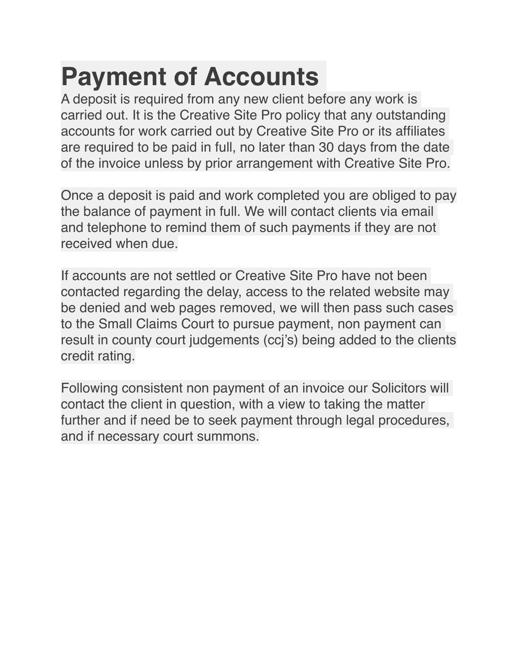#### **Payment of Accounts**

A deposit is required from any new client before any work is carried out. It is the Creative Site Pro policy that any outstanding accounts for work carried out by Creative Site Pro or its affiliates are required to be paid in full, no later than 30 days from the date of the invoice unless by prior arrangement with Creative Site Pro.

Once a deposit is paid and work completed you are obliged to pay the balance of payment in full. We will contact clients via email and telephone to remind them of such payments if they are not received when due.

If accounts are not settled or Creative Site Pro have not been contacted regarding the delay, access to the related website may be denied and web pages removed, we will then pass such cases to the Small Claims Court to pursue payment, non payment can result in county court judgements (ccj's) being added to the clients credit rating.

Following consistent non payment of an invoice our Solicitors will contact the client in question, with a view to taking the matter further and if need be to seek payment through legal procedures, and if necessary court summons.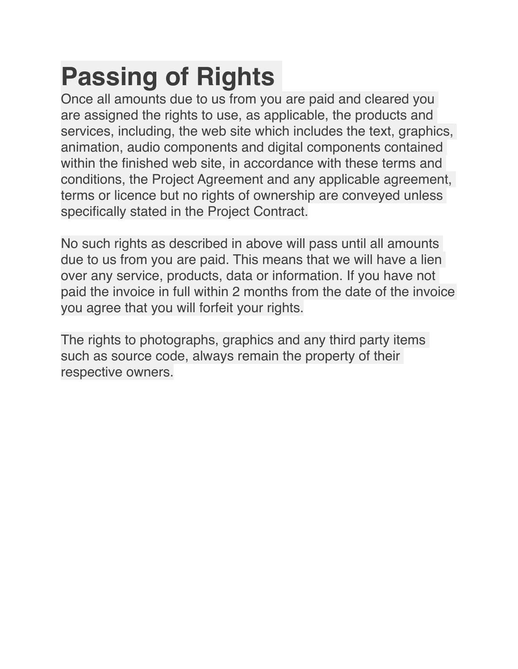## **Passing of Rights**

Once all amounts due to us from you are paid and cleared you are assigned the rights to use, as applicable, the products and services, including, the web site which includes the text, graphics, animation, audio components and digital components contained within the finished web site, in accordance with these terms and conditions, the Project Agreement and any applicable agreement, terms or licence but no rights of ownership are conveyed unless specifically stated in the Project Contract.

No such rights as described in above will pass until all amounts due to us from you are paid. This means that we will have a lien over any service, products, data or information. If you have not paid the invoice in full within 2 months from the date of the invoice you agree that you will forfeit your rights.

The rights to photographs, graphics and any third party items such as source code, always remain the property of their respective owners.